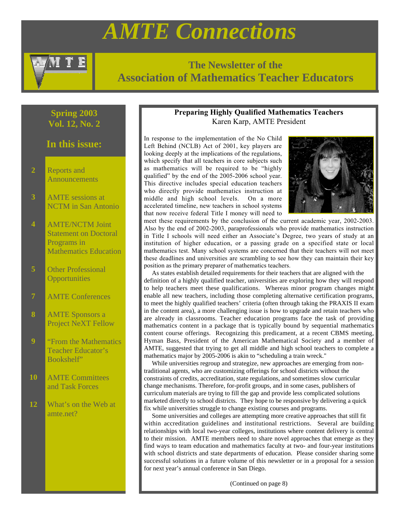# *AMTE Connections*



# **The Newsletter of the Association of Mathematics Teacher Educators**

# **Spring 2003 Vol. 12, No. 2**

# **In this issue:**

- **2** Reports and **Announcements**
- **3** AMTE sessions at NCTM in San Antonio
- **4** AMTE/NCTM Joint Statement on Doctoral Programs in Mathematics Education
- **5** Other Professional **Opportunities**
- AMTE Conferences
- **8** AMTE Sponsors a Project NeXT Fellow
- **9** "From the Mathematics Teacher Educator's Bookshelf"
- **10** AMTE Committees and Task Forces
- **12** What's on the Web at amte.net?

# **Preparing Highly Qualified Mathematics Teachers** Karen Karp, AMTE President

In response to the implementation of the No Child Left Behind (NCLB) Act of 2001, key players are looking deeply at the implications of the regulations, which specify that all teachers in core subjects such as mathematics will be required to be "highly qualified" by the end of the 2005-2006 school year. This directive includes special education teachers who directly provide mathematics instruction at middle and high school levels. On a more accelerated timeline, new teachers in school systems that now receive federal Title I money will need to



meet these requirements by the conclusion of the current academic year, 2002-2003. Also by the end of 2002-2003, paraprofessionals who provide mathematics instruction in Title I schools will need either an Associate's Degree, two years of study at an institution of higher education, or a passing grade on a specified state or local mathematics test. Many school systems are concerned that their teachers will not meet these deadlines and universities are scrambling to see how they can maintain their key position as the primary preparer of mathematics teachers.

 As states establish detailed requirements for their teachers that are aligned with the definition of a highly qualified teacher, universities are exploring how they will respond to help teachers meet these qualifications. Whereas minor program changes might enable all new teachers, including those completing alternative certification programs, to meet the highly qualified teachers' criteria (often through taking the PRAXIS II exam in the content area), a more challenging issue is how to upgrade and retain teachers who are already in classrooms. Teacher education programs face the task of providing mathematics content in a package that is typically bound by sequential mathematics content course offerings. Recognizing this predicament, at a recent CBMS meeting, Hyman Bass, President of the American Mathematical Society and a member of AMTE, suggested that trying to get all middle and high school teachers to complete a mathematics major by 2005-2006 is akin to "scheduling a train wreck."

 While universities regroup and strategize, new approaches are emerging from nontraditional agents, who are customizing offerings for school districts without the constraints of credits, accreditation, state regulations, and sometimes slow curricular change mechanisms. Therefore, for-profit groups, and in some cases, publishers of curriculum materials are trying to fill the gap and provide less complicated solutions marketed directly to school districts. They hope to be responsive by delivering a quick fix while universities struggle to change existing courses and programs.

 Some universities and colleges are attempting more creative approaches that still fit within accreditation guidelines and institutional restrictions. Several are building relationships with local two-year colleges, institutions where content delivery is central to their mission. AMTE members need to share novel approaches that emerge as they find ways to team education and mathematics faculty at two- and four-year institutions with school districts and state departments of education. Please consider sharing some successful solutions in a future volume of this newsletter or in a proposal for a session for next year's annual conference in San Diego.

(Continued on page 8)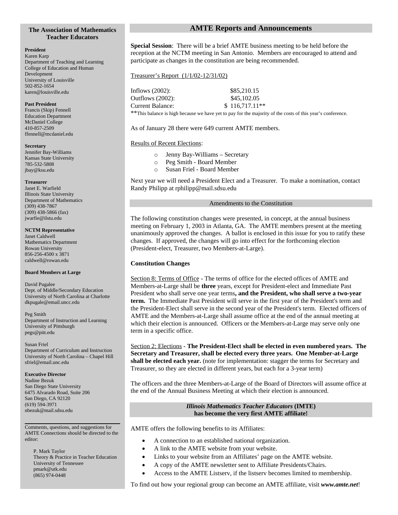### **The Association of Mathematics Teacher Educators**

#### **President**

Karen Karp Department of Teaching and Learning College of Education and Human Development University of Louisville 502-852-1654 karen@louisville.edu

#### **Past President**

Francis (Skip) Fennell Education Department McDaniel College 410-857-2509 ffennell@mcdaniel.edu

#### **Secretary**

Jennifer Bay-Williams Kansas State University 785-532-5808 jbay@ksu.edu

#### **Treasurer**

Janet E. Warfield Illinois State University Department of Mathematics (309) 438-7867 (309) 438-5866 (fax) jwarfie@ilstu.edu

#### **NCTM Representative**

Janet Caldwell Mathematics Department Rowan University 856-256-4500 x 3871 caldwell@rowan.edu

#### **Board Members at Large**

David Pugalee Dept. of Middle/Secondary Education University of North Carolina at Charlotte dkpugale@email.uncc.edu

Peg Smith Department of Instruction and Learning University of Pittsburgh pegs@pitt.edu

#### Susan Friel Department of Curriculum and Instruction University of North Carolina – Chapel Hill sfriel@email.unc.edu

#### **Executive Director**

Nadine Bezuk San Diego State University 6475 Alvarado Road, Suite 206 San Diego, CA 92120 (619) 594-3971 nbezuk@mail.sdsu.edu

#### Comments, questions, and suggestions for AMTE Connections should be directed to the editor:

P. Mark Taylor Theory & Practice in Teacher Education University of Tennessee pmark@utk.edu (865) 974-0448

# **AMTE Reports and Announcements**

**Special Session**: There will be a brief AMTE business meeting to be held before the reception at the NCTM meeting in San Antonio. Members are encouraged to attend and participate as changes in the constitution are being recommended.

### Treasurer's Report (1/1/02-12/31/02)

Inflows (2002): \$85,210.15 Outflows (2002): \$45,102.05 Current Balance: \$ 116,717.11\*\*

\*\*This balance is high because we have yet to pay for the majority of the costs of this year's conference.

As of January 28 there were 649 current AMTE members.

# Results of Recent Elections:

- o Jenny Bay-Williams Secretary
- o Peg Smith Board Member
- Susan Friel Board Member

Next year we will need a President Elect and a Treasurer. To make a nomination, contact Randy Philipp at rphilipp@mail.sdsu.edu

#### Amendments to the Constitution

The following constitution changes were presented, in concept, at the annual business meeting on February 1, 2003 in Atlanta, GA. The AMTE members present at the meeting unanimously approved the changes. A ballot is enclosed in this issue for you to ratify these changes. If approved, the changes will go into effect for the forthcoming election (President-elect, Treasurer, two Members-at-Large).

# **Constitution Changes**

Section 8: Terms of Office - The terms of office for the elected offices of AMTE and Members-at-Large shall be **three** years, except for President-elect and Immediate Past President who shall serve one year terms**, and the President, who shall serve a two-year term.** The Immediate Past President will serve in the first year of the President's term and the President-Elect shall serve in the second year of the President's term. Elected officers of AMTE and the Members-at-Large shall assume office at the end of the annual meeting at which their election is announced. Officers or the Members-at-Large may serve only one term in a specific office.

Section 2: Elections - **The President-Elect shall be elected in even numbered years. The Secretary and Treasurer, shall be elected every three years. One Member-at-Large shall be elected each year.** (note for implementation: stagger the terms for Secretary and Treasurer, so they are elected in different years, but each for a 3-year term)

The officers and the three Members-at-Large of the Board of Directors will assume office at the end of the Annual Business Meeting at which their election is announced.

### *Illinois Mathematics Teacher Educators* **(IMTE) has become the very first AMTE affiliate!**

AMTE offers the following benefits to its Affiliates:

- A connection to an established national organization.
- A link to the AMTE website from your website.
- Links to your website from an Affiliates' page on the AMTE website.
- A copy of the AMTE newsletter sent to Affiliate Presidents/Chairs.
- Access to the AMTE Listserv, if the listserv becomes limited to membership.

To find out how your regional group can become an AMTE affiliate, visit *www.amte.net*!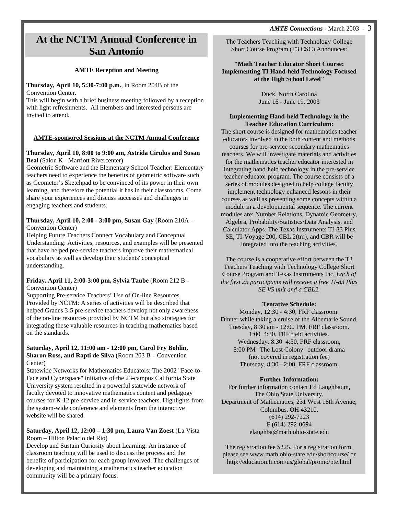# **At the NCTM Annual Conference in San Antonio**

# **AMTE Reception and Meeting**

# **Thursday, April 10, 5:30-7:00 p.m.**, in Room 204B of the Convention Center.

This will begin with a brief business meeting followed by a reception with light refreshments. All members and interested persons are invited to attend.

# **AMTE-sponsored Sessions at the NCTM Annual Conference**

# **Thursday, April 10, 8:00 to 9:00 am, Astrida Cirulus and Susan Beal** (Salon K - Marriott Rivercenter)

Geometric Software and the Elementary School Teacher: Elementary teachers need to experience the benefits of geometric software such as Geometer's Sketchpad to be convinced of its power in their own learning, and therefore the potential it has in their classrooms. Come share your experiences and discuss successes and challenges in engaging teachers and students.

# **Thursday, April 10, 2:00 - 3:00 pm, Susan Gay** (Room 210A - Convention Center)

Helping Future Teachers Connect Vocabulary and Conceptual Understanding: Activities, resources, and examples will be presented that have helped pre-service teachers improve their mathematical vocabulary as well as develop their students' conceptual understanding.

# **Friday, April 11, 2:00-3:00 pm, Sylvia Taube** (Room 212 B - Convention Center)

Supporting Pre-service Teachers' Use of On-line Resources Provided by NCTM: A series of activities will be described that helped Grades 3-5 pre-service teachers develop not only awareness of the on-line resources provided by NCTM but also strategies for integrating these valuable resources in teaching mathematics based on the standards.

## **Saturday, April 12, 11:00 am - 12:00 pm, Carol Fry Bohlin, Sharon Ross, and Rapti de Silva** (Room 203 B – Convention Center)

Statewide Networks for Mathematics Educators: The 2002 "Face-to-Face and Cyberspace" initiative of the 23-campus California State University system resulted in a powerful statewide network of faculty devoted to innovative mathematics content and pedagogy courses for K-12 pre-service and in-service teachers. Highlights from the system-wide conference and elements from the interactive website will be shared.

# **Saturday, April 12, 12:00 – 1:30 pm, Laura Van Zoest** (La Vista Room – Hilton Palacio del Rio)

Develop and Sustain Curiosity about Learning: An instance of classroom teaching will be used to discuss the process and the benefits of participation for each group involved. The challenges of developing and maintaining a mathematics teacher education community will be a primary focus.

The Teachers Teaching with Technology College Short Course Program (T3 CSC) Announces:

### **"Math Teacher Educator Short Course: Implementing TI Hand-held Technology Focused at the High School Level"**

Duck, North Carolina June 16 - June 19, 2003

### **Implementing Hand-held Technology in the Teacher Education Curriculum:**

The short course is designed for mathematics teacher educators involved in the both content and methods courses for pre-service secondary mathematics teachers. We will investigate materials and activities for the mathematics teacher educator interested in

integrating hand-held technology in the pre-service teacher educator program. The course consists of a series of modules designed to help college faculty implement technology enhanced lessons in their courses as well as presenting some concepts within a module in a developmental sequence. The current modules are: Number Relations, Dynamic Geometry, Algebra, Probability/Statistics/Data Analysis, and Calculator Apps. The Texas Instruments TI-83 Plus SE, TI-Voyage 200, CBL 2(tm), and CBR will be

integrated into the teaching activities.

The course is a cooperative effort between the T3 Teachers Teaching with Technology College Short Course Program and Texas Instruments Inc. *Each of the first 25 participants will receive a free TI-83 Plus SE VS unit and a CBL2.*

# **Tentative Schedule:**

Monday, 12:30 - 4:30, FRF classroom. Dinner while taking a cruise of the Albemarle Sound. Tuesday, 8:30 am - 12:00 PM, FRF classroom. 1:00 4:30, FRF field activities. Wednesday, 8:30 4:30, FRF classroom, 8:00 PM "The Lost Colony" outdoor drama (not covered in registration fee) Thursday, 8:30 - 2:00, FRF classroom.

# **Further Information:**

For further information contact Ed Laughbaum, The Ohio State University, Department of Mathematics, 231 West 18th Avenue, Columbus, OH 43210. (614) 292-7223 F (614) 292-0694 elaughba@math.ohio-state.edu

The registration fee \$225. For a registration form, please see www.math.ohio-state.edu/shortcourse/ or http://education.ti.com/us/global/promo/pte.html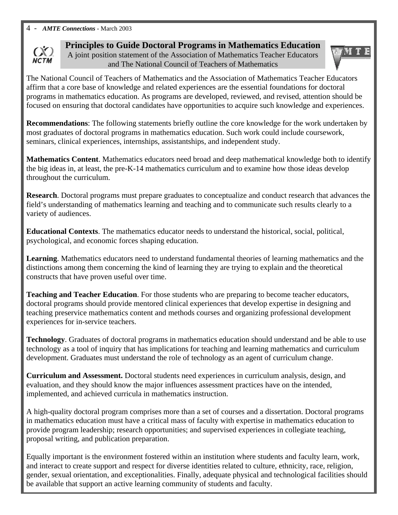

**Principles to Guide Doctoral Programs in Mathematics Education** A joint position statement of the Association of Mathematics Teacher Educators and The National Council of Teachers of Mathematics



The National Council of Teachers of Mathematics and the Association of Mathematics Teacher Educators affirm that a core base of knowledge and related experiences are the essential foundations for doctoral programs in mathematics education. As programs are developed, reviewed, and revised, attention should be focused on ensuring that doctoral candidates have opportunities to acquire such knowledge and experiences.

**Recommendations**: The following statements briefly outline the core knowledge for the work undertaken by most graduates of doctoral programs in mathematics education. Such work could include coursework, seminars, clinical experiences, internships, assistantships, and independent study.

**Mathematics Content**. Mathematics educators need broad and deep mathematical knowledge both to identify the big ideas in, at least, the pre-K-14 mathematics curriculum and to examine how those ideas develop throughout the curriculum.

**Research**. Doctoral programs must prepare graduates to conceptualize and conduct research that advances the field's understanding of mathematics learning and teaching and to communicate such results clearly to a variety of audiences.

**Educational Contexts**. The mathematics educator needs to understand the historical, social, political, psychological, and economic forces shaping education.

**Learning**. Mathematics educators need to understand fundamental theories of learning mathematics and the distinctions among them concerning the kind of learning they are trying to explain and the theoretical constructs that have proven useful over time.

**Teaching and Teacher Education**. For those students who are preparing to become teacher educators, doctoral programs should provide mentored clinical experiences that develop expertise in designing and teaching preservice mathematics content and methods courses and organizing professional development experiences for in-service teachers.

**Technology**. Graduates of doctoral programs in mathematics education should understand and be able to use technology as a tool of inquiry that has implications for teaching and learning mathematics and curriculum development. Graduates must understand the role of technology as an agent of curriculum change.

**Curriculum and Assessment.** Doctoral students need experiences in curriculum analysis, design, and evaluation, and they should know the major influences assessment practices have on the intended, implemented, and achieved curricula in mathematics instruction.

A high-quality doctoral program comprises more than a set of courses and a dissertation. Doctoral programs in mathematics education must have a critical mass of faculty with expertise in mathematics education to provide program leadership; research opportunities; and supervised experiences in collegiate teaching, proposal writing, and publication preparation.

Equally important is the environment fostered within an institution where students and faculty learn, work, and interact to create support and respect for diverse identities related to culture, ethnicity, race, religion, gender, sexual orientation, and exceptionalities. Finally, adequate physical and technological facilities should be available that support an active learning community of students and faculty.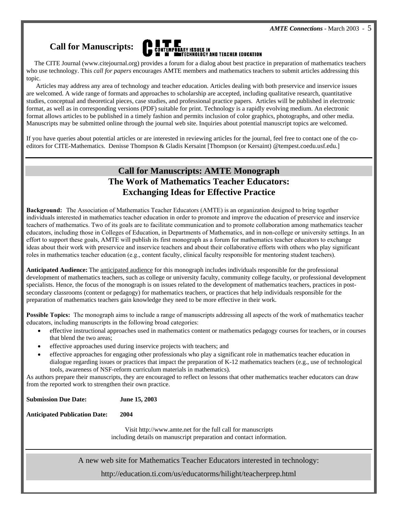# **Call for Manuscripts:**



 The CITE Journal (www.citejournal.org) provides a forum for a dialog about best practice in preparation of mathematics teachers who use technology. This *call for papers* encourages AMTE members and mathematics teachers to submit articles addressing this topic.

 Articles may address any area of technology and teacher education. Articles dealing with both preservice and inservice issues are welcomed. A wide range of formats and approaches to scholarship are accepted, including qualitative research, quantitative studies, conceptual and theoretical pieces, case studies, and professional practice papers. Articles will be published in electronic format, as well as in corresponding versions (PDF) suitable for print. Technology is a rapidly evolving medium. An electronic format allows articles to be published in a timely fashion and permits inclusion of color graphics, photographs, and other media. Manuscripts may be submitted online through the journal web site. Inquiries about potential manuscript topics are welcomed.

If you have queries about potential articles or are interested in reviewing articles for the journal, feel free to contact one of the coeditors for CITE-Mathematics. Denisse Thompson & Gladis Kersaint [Thompson (or Kersaint) @tempest.coedu.usf.edu.]

# **Call for Manuscripts: AMTE Monograph The Work of Mathematics Teacher Educators: Exchanging Ideas for Effective Practice**

**Background:** The Association of Mathematics Teacher Educators (AMTE) is an organization designed to bring together individuals interested in mathematics teacher education in order to promote and improve the education of preservice and inservice teachers of mathematics. Two of its goals are to facilitate communication and to promote collaboration among mathematics teacher educators, including those in Colleges of Education, in Departments of Mathematics, and in non-college or university settings. In an effort to support these goals, AMTE will publish its first monograph as a forum for mathematics teacher educators to exchange ideas about their work with preservice and inservice teachers and about their collaborative efforts with others who play significant roles in mathematics teacher education (e.g., content faculty, clinical faculty responsible for mentoring student teachers).

**Anticipated Audience:** The anticipated audience for this monograph includes individuals responsible for the professional development of mathematics teachers, such as college or university faculty, community college faculty, or professional development specialists. Hence, the focus of the monograph is on issues related to the development of mathematics teachers, practices in postsecondary classrooms (content or pedagogy) for mathematics teachers, or practices that help individuals responsible for the preparation of mathematics teachers gain knowledge they need to be more effective in their work.

**Possible Topics:** The monograph aims to include a range of manuscripts addressing all aspects of the work of mathematics teacher educators, including manuscripts in the following broad categories:

- effective instructional approaches used in mathematics content or mathematics pedagogy courses for teachers, or in courses that blend the two areas;
- effective approaches used during inservice projects with teachers; and
- effective approaches for engaging other professionals who play a significant role in mathematics teacher education in dialogue regarding issues or practices that impact the preparation of K-12 mathematics teachers (e.g., use of technological tools, awareness of NSF-reform curriculum materials in mathematics).

As authors prepare their manuscripts, they are encouraged to reflect on lessons that other mathematics teacher educators can draw from the reported work to strengthen their own practice.

**Submission Due Date: June 15, 2003**

**Anticipated Publication Date: 2004**

Visit http://www.amte.net for the full call for manuscripts including details on manuscript preparation and contact information.

A new web site for Mathematics Teacher Educators interested in technology:

http://education.ti.com/us/educatorms/hilight/teacherprep.html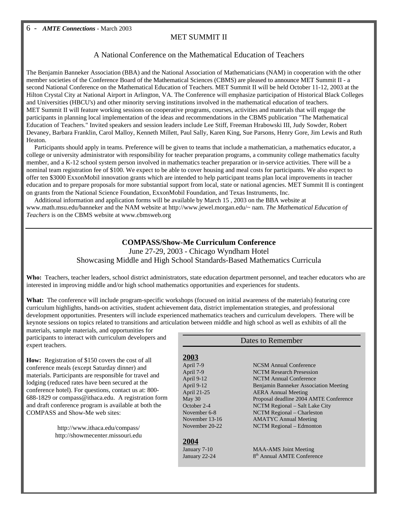# MET SUMMIT II

# A National Conference on the Mathematical Education of Teachers

The Benjamin Banneker Association (BBA) and the National Association of Mathematicians (NAM) in cooperation with the other member societies of the Conference Board of the Mathematical Sciences (CBMS) are pleased to announce MET Summit II - a second National Conference on the Mathematical Education of Teachers. MET Summit II will be held October 11-12, 2003 at the Hilton Crystal City at National Airport in Arlington, VA. The Conference will emphasize participation of Historical Black Colleges and Universities (HBCU's) and other minority serving institutions involved in the mathematical education of teachers. MET Summit II will feature working sessions on cooperative programs, courses, activities and materials that will engage the participants in planning local implementation of the ideas and recommendations in the CBMS publication "The Mathematical Education of Teachers." Invited speakers and session leaders include Lee Stiff, Freeman Hrabowski III, Judy Sowder, Robert Devaney, Barbara Franklin, Carol Malloy, Kenneth Millett, Paul Sally, Karen King, Sue Parsons, Henry Gore, Jim Lewis and Ruth Heaton.

Participants should apply in teams. Preference will be given to teams that include a mathematician, a mathematics educator, a college or university administrator with responsibility for teacher preparation programs, a community college mathematics faculty member, and a K-12 school system person involved in mathematics teacher preparation or in-service activities. There will be a nominal team registration fee of \$100. We expect to be able to cover housing and meal costs for participants. We also expect to offer ten \$3000 ExxonMobil innovation grants which are intended to help participant teams plan local improvements in teacher education and to prepare proposals for more substantial support from local, state or national agencies. MET Summit II is contingent on grants from the National Science Foundation, ExxonMobil Foundation, and Texas Instruments, Inc.

 Additional information and application forms will be available by March 15 , 2003 on the BBA website at www.math.msu.edu/banneker and the NAM website at http://www.jewel.morgan.edu/~ nam. *The Mathematical Education of Teachers* is on the CBMS website at www.cbmsweb.org

# **COMPASS/Show-Me Curriculum Conference**

June 27-29, 2003 - Chicago Wyndham Hotel Showcasing Middle and High School Standards-Based Mathematics Curricula

**Who:** Teachers, teacher leaders, school district administrators, state education department personnel, and teacher educators who are interested in improving middle and/or high school mathematics opportunities and experiences for students.

**What:** The conference will include program-specific workshops (focused on initial awareness of the materials) featuring core curriculum highlights, hands-on activities, student achievement data, district implementation strategies, and professional development opportunities. Presenters will include experienced mathematics teachers and curriculum developers. There will be keynote sessions on topics related to transitions and articulation between middle and high school as well as exhibits of all the

materials, sample materials, and opportunities for participants to interact with curriculum developers and expert teachers.

**How:** Registration of \$150 covers the cost of all conference meals (except Saturday dinner) and materials. Participants are responsible for travel and lodging (reduced rates have been secured at the conference hotel). For questions, contact us at: 800- 688-1829 or compass@ithaca.edu. A registration form and draft conference program is available at both the COMPASS and Show-Me web sites:

> http://www.ithaca.edu/compass/ http://showmecenter.missouri.edu

| <b>Dates to Remember</b> |                                              |
|--------------------------|----------------------------------------------|
| 2003                     |                                              |
| April 7-9                | <b>NCSM</b> Annual Conference                |
| April 7-9                | <b>NCTM</b> Research Presession              |
| April 9-12               | <b>NCTM</b> Annual Conference                |
| April 9-12               | <b>Benjamin Banneker Association Meeting</b> |
| April 21-25              | <b>AERA Annual Meeting</b>                   |
| May 30                   | Proposal deadline 2004 AMTE Conference       |
| October 2-4              | NCTM Regional – Salt Lake City               |
| November 6-8             | NCTM Regional – Charleston                   |
| November 13-16           | <b>AMATYC</b> Annual Meeting                 |
| November 20-22           | NCTM Regional – Edmonton                     |
| 2004                     |                                              |
| January 7-10             | <b>MAA-AMS</b> Joint Meeting                 |
| January 22-24            | 8 <sup>th</sup> Annual AMTE Conference       |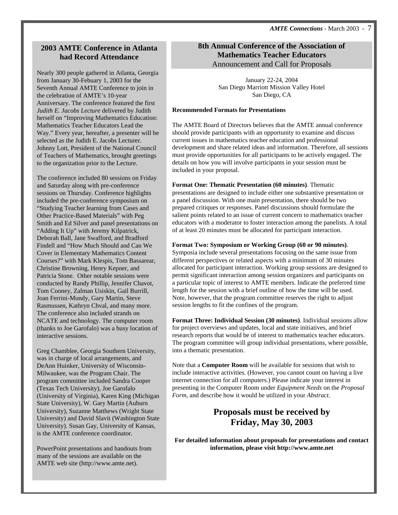# **2003 AMTE Conference in Atlanta had Record Attendance**

Nearly 300 people gathered in Atlanta, Georgia from January 30-Febuary 1, 2003 for the Seventh Annual AMTE Conference to join in the celebration of AMTE's 10-year Anniversary. The conference featured the first *Judith E. Jacobs Lecture* delivered by Judith herself on "Improving Mathematics Education: Mathematics Teacher Educators Lead the Way." Every year, hereafter, a presenter will be selected as the Judith E. Jacobs Lecturer. Johnny Lott, President of the National Council of Teachers of Mathematics, brought greetings to the organization prior to the Lecture.

The conference included 80 sessions on Friday and Saturday along with pre-conference sessions on Thursday. Conference highlights included the pre-conference symposium on "Studying Teacher learning from Cases and Other Practice-Based Materials" with Peg Smith and Ed Silver and panel presentations on "Adding It Up" with Jeremy Kilpatrick, Deborah Ball, Jane Swafford, and Bradford Findell and "How Much Should and Can We Cover in Elementary Mathematics Content Courses?" with Mark Klespis, Tom Bassarear, Christine Browning, Henry Kepner, and Patricia Stone. Other notable sessions were conducted by Randy Phillip, Jennifer Chavot, Tom Cooney, Zalman Usiskin, Gail Burrill, Joan Ferrini-Mundy, Gary Martin, Steve Rasmussen, Kathryn Chval, and many more. The conference also included strands on NCATE and technology. The computer room (thanks to Joe Garofalo) was a busy location of interactive sessions.

Greg Chamblee, Georgia Southern University, was in charge of local arrangements, and DeAnn Huinker, University of Wisconsin-Milwaukee, was the Program Chair. The program committee included Sandra Cooper (Texas Tech University), Joe Garofalo (University of Virginia), Karen King (Michigan State University), W. Gary Martin (Auburn University), Suzanne Matthews (Wright State University) and David Slavit (Washington State University). Susan Gay, University of Kansas, is the AMTE conference coordinator.

PowerPoint presentations and handouts from many of the sessions are available on the AMTE web site (http://www.amte.net).

# **8th Annual Conference of the Association of Mathematics Teacher Educators** Announcement and Call for Proposals

January 22-24, 2004 San Diego Marriott Mission Valley Hotel San Diego, CA

# **Recommended Formats for Presentations**

The AMTE Board of Directors believes that the AMTE annual conference should provide participants with an opportunity to examine and discuss current issues in mathematics teacher education and professional development and share related ideas and information. Therefore, all sessions must provide opportunities for all participants to be actively engaged. The details on how you will involve participants in your session must be included in your proposal.

**Format One: Thematic Presentation (60 minutes)**. Thematic presentations are designed to include either one substantive presentation or a panel discussion. With one main presentation, there should be two prepared critiques or responses. Panel discussions should formulate the salient points related to an issue of current concern to mathematics teacher educators with a moderator to foster interaction among the panelists. A total of at least 20 minutes must be allocated for participant interaction.

# **Format Two: Symposium or Working Group (60 or 90 minutes)**.

Symposia include several presentations focusing on the same issue from different perspectives or related aspects with a minimum of 30 minutes allocated for participant interaction. Working group sessions are designed to permit significant interaction among session organizers and participants on a particular topic of interest to AMTE members. Indicate the preferred time length for the session with a brief outline of how the time will be used. Note, however, that the program committee reserves the right to adjust session lengths to fit the confines of the program.

**Format Three: Individual Session (30 minutes)**. Individual sessions allow for project overviews and updates, local and state initiatives, and brief research reports that would be of interest to mathematics teacher educators. The program committee will group individual presentations, where possible, into a thematic presentation.

Note that a **Computer Room** will be available for sessions that wish to include interactive activities. (However, you cannot count on having a live internet connection for all computers.) Please indicate your interest in presenting in the Computer Room under *Equipment Needs* on the *Proposal Form*, and describe how it would be utilized in your *Abstract*.

# **Proposals must be received by Friday, May 30, 2003**

**For detailed information about proposals for presentations and contact information, please visit http://www.amte.net**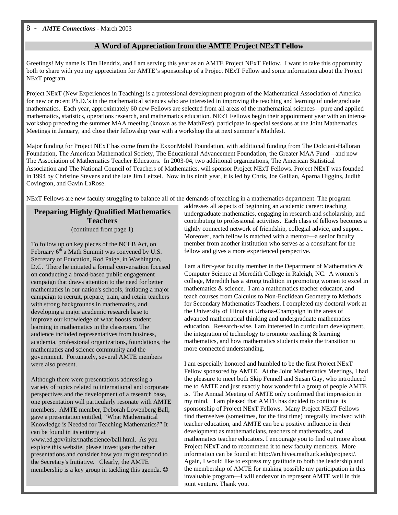# **A Word of Appreciation from the AMTE Project NExT Fellow**

Greetings! My name is Tim Hendrix, and I am serving this year as an AMTE Project NExT Fellow. I want to take this opportunity both to share with you my appreciation for AMTE's sponsorship of a Project NExT Fellow and some information about the Project NExT program.

Project NExT (New Experiences in Teaching) is a professional development program of the Mathematical Association of America for new or recent Ph.D.'s in the mathematical sciences who are interested in improving the teaching and learning of undergraduate mathematics. Each year, approximately 60 new Fellows are selected from all areas of the mathematical sciences—pure and applied mathematics, statistics, operations research, and mathematics education. NExT Fellows begin their appointment year with an intense workshop preceding the summer MAA meeting (known as the MathFest), participate in special sessions at the Joint Mathematics Meetings in January, and close their fellowship year with a workshop the at next summer's Mathfest.

Major funding for Project NExT has come from the ExxonMobil Foundation, with additional funding from The Dolciani-Halloran Foundation, The American Mathematical Society, The Educational Advancement Foundation, the Greater MAA Fund – and now The Association of Mathematics Teacher Educators. In 2003-04, two additional organizations, The American Statistical Association and The National Council of Teachers of Mathematics, will sponsor Project NExT Fellows. Project NExT was founded in 1994 by Christine Stevens and the late Jim Leitzel. Now in its ninth year, it is led by Chris, Joe Gallian, Aparna Higgins, Judith Covington, and Gavin LaRose.

NExT Fellows are new faculty struggling to balance all of the demands of teaching in a mathematics department. The program

# **Preparing Highly Qualified Mathematics Teachers**

(continued from page 1)

To follow up on key pieces of the NCLB Act, on February  $6<sup>th</sup>$  a Math Summit was convened by U.S. Secretary of Education, Rod Paige, in Washington, D.C. There he initiated a formal conversation focused on conducting a broad-based public engagement campaign that draws attention to the need for better mathematics in our nation's schools, initiating a major campaign to recruit, prepare, train, and retain teachers with strong backgrounds in mathematics, and developing a major academic research base to improve our knowledge of what boosts student learning in mathematics in the classroom. The audience included representatives from business, academia, professional organizations, foundations, the mathematics and science community and the government. Fortunately, several AMTE members were also present.

Although there were presentations addressing a variety of topics related to international and corporate perspectives and the development of a research base, one presentation will particularly resonate with AMTE members. AMTE member, Deborah Lowenberg Ball, gave a presentation entitled, "What Mathematical Knowledge is Needed for Teaching Mathematics?" It can be found in its entirety at www.ed.gov/inits/mathscience/ball.html. As you explore this website, please investigate the other presentations and consider how you might respond to the Secretary's Initiative. Clearly, the AMTE membership is a key group in tackling this agenda.  $\odot$ 

addresses all aspects of beginning an academic career: teaching undergraduate mathematics, engaging in research and scholarship, and contributing to professional activities. Each class of fellows becomes a tightly connected network of friendship, collegial advice, and support. Moreover, each fellow is matched with a mentor—a senior faculty member from another institution who serves as a consultant for the fellow and gives a more experienced perspective.

I am a first-year faculty member in the Department of Mathematics & Computer Science at Meredith College in Raleigh, NC. A women's college, Meredith has a strong tradition in promoting women to excel in mathematics & science. I am a mathematics teacher educator, and teach courses from Calculus to Non-Euclidean Geometry to Methods for Secondary Mathematics Teachers. I completed my doctoral work at the University of Illinois at Urbana-Champaign in the areas of advanced mathematical thinking and undergraduate mathematics education. Research-wise, I am interested in curriculum development, the integration of technology to promote teaching & learning mathematics, and how mathematics students make the transition to more connected understanding.

I am especially honored and humbled to be the first Project NExT Fellow sponsored by AMTE. At the Joint Mathematics Meetings, I had the pleasure to meet both Skip Fennell and Susan Gay, who introduced me to AMTE and just exactly how wonderful a group of people AMTE is. The Annual Meeting of AMTE only confirmed that impression in my mind. I am pleased that AMTE has decided to continue its sponsorship of Project NExT Fellows. Many Project NExT Fellows find themselves (sometimes, for the first time) integrally involved with teacher education, and AMTE can be a positive influence in their development as mathematicians, teachers of mathematics, and mathematics teacher educators. I encourage you to find out more about Project NExT and to recommend it to new faculty members. More information can be found at: http://archives.math.utk.edu/projnext/. Again, I would like to express my gratitude to both the leadership and the membership of AMTE for making possible my participation in this invaluable program—I will endeavor to represent AMTE well in this joint venture. Thank you.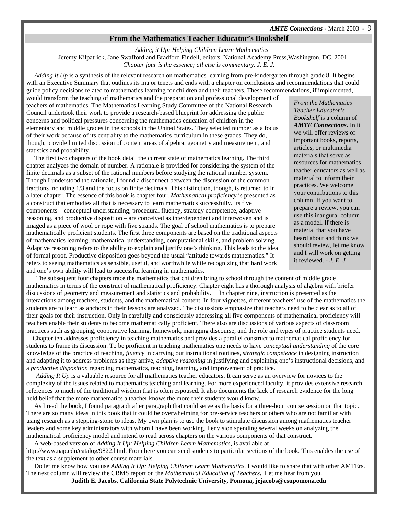### **From the Mathematics Teacher Educator's Bookshelf**

*Adding it Up: Helping Children Learn Mathematics* Jeremy Kilpatrick, Jane Swafford and Bradford Findell, editors. National Academy Press,Washington, DC, 2001 *Chapter four is the essence; all else is commentary. J. E. J.*

 *Adding It Up* is a synthesis of the relevant research on mathematics learning from pre-kindergarten through grade 8. It begins with an Executive Summary that outlines its major tenets and ends with a chapter on conclusions and recommendations that could guide policy decisions related to mathematics learning for children and their teachers. These recommendations, if implemented,

would transform the teaching of mathematics and the preparation and professional development of teachers of mathematics. The Mathematics Learning Study Committee of the National Research Council undertook their work to provide a research-based blueprint for addressing the public concerns and political pressures concerning the mathematics education of children in the elementary and middle grades in the schools in the United States. They selected number as a focus of their work because of its centrality to the mathematics curriculum in these grades. They do, though, provide limited discussion of content areas of algebra, geometry and measurement, and statistics and probability.

 The first two chapters of the book detail the current state of mathematics learning. The third chapter analyzes the domain of number. A rationale is provided for considering the system of the finite decimals as a subset of the rational numbers before studying the rational number system. Though I understood the rationale, I found a disconnect between the discussion of the common fractions including 1/3 and the focus on finite decimals. This distinction, though, is returned to in a later chapter. The essence of this book is chapter four. *Mathematical proficiency* is presented as a construct that embodies all that is necessary to learn mathematics successfully. Its five components – conceptual understanding, procedural fluency, strategy competence, adaptive reasoning, and productive disposition – are conceived as interdependent and interwoven and is imaged as a piece of wool or rope with five strands. The goal of school mathematics is to prepare mathematically proficient students. The first three components are based on the traditional aspects of mathematics learning, mathematical understanding, computational skills, and problem solving. Adaptive reasoning refers to the ability to explain and justify one's thinking. This leads to the idea of formal proof. Productive disposition goes beyond the usual "attitude towards mathematics." It refers to seeing mathematics as sensible, useful, and worthwhile while recognizing that hard work and one's own ability will lead to successful learning in mathematics.

 The subsequent four chapters trace the mathematics that children bring to school through the content of middle grade mathematics in terms of the construct of mathematical proficiency. Chapter eight has a thorough analysis of algebra with briefer discussions of geometry and measurement and statistics and probability. In chapter nine, instruction is presented as the interactions among teachers, students, and the mathematical content. In four vignettes, different teachers' use of the mathematics the students are to learn as anchors in their lessons are analyzed. The discussions emphasize that teachers need to be clear as to all of their goals for their instruction. Only in carefully and consciously addressing all five components of mathematical proficiency will teachers enable their students to become mathematically proficient. There also are discussions of various aspects of classroom practices such as grouping, cooperative learning, homework, managing discourse, and the role and types of practice students need.

 Chapter ten addresses proficiency in teaching mathematics and provides a parallel construct to mathematical proficiency for students to frame its discussion. To be proficient in teaching mathematics one needs to have co*nceptual understanding* of the core knowledge of the practice of teaching, *fluency* in carrying out instructional routines, *strategic competence* in designing instruction and adapting it to address problems as they arrive, *adaptive reasoning* in justifying and explaining one's instructional decisions, and a *productive disposition* regarding mathematics, teaching, learning, and improvement of practice.

 *Adding It Up* is a valuable resource for all mathematics teacher educators. It can serve as an overview for novices to the complexity of the issues related to mathematics teaching and learning. For more experienced faculty, it provides extensive research references to much of the traditional wisdom that is often espoused. It also documents the lack of research evidence for the long held belief that the more mathematics a teacher knows the more their students would know.

 As I read the book, I found paragraph after paragraph that could serve as the basis for a three-hour course session on that topic. There are so many ideas in this book that it could be overwhelming for pre-service teachers or others who are not familiar with using research as a stepping-stone to ideas. My own plan is to use the book to stimulate discussion among mathematics teacher leaders and some key administrators with whom I have been working. I envision spending several weeks on analyzing the mathematical proficiency model and intend to read across chapters on the various components of that construct.

 A web-based version of *Adding It Up: Helping Children Learn Mathematics*, is available at http://www.nap.edu/catalog/9822.html. From here you can send students to particular sections of the book. This enables the use of

the text as a supplement to other course materials. Do let me know how you use *Adding It Up: Helping Children Learn Mathematics.* I would like to share that with other AMTErs. The next column will review the CBMS report on the *Mathematical Education of Teachers*. Let me hear from you.

**Judith E. Jacobs, California State Polytechnic University, Pomona, jejacobs@csupomona.edu**

*From the Mathematics Teacher Educator's Bookshelf* is a column of *AMTE Connections.* In it we will offer reviews of important books, reports, articles, or multimedia materials that serve as resources for mathematics teacher educators as well as material to inform their practices. We welcome your contributions to this column. If you want to prepare a review, you can use this inaugural column as a model. If there is material that you have heard about and think we should review, let me know and I will work on getting it reviewed. - *J. E. J.*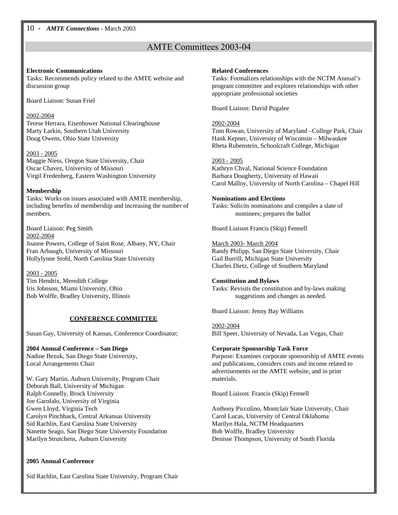# AMTE Committees 2003-04

### **Electronic Communications**

Tasks: Recommends policy related to the AMTE website and discussion group

Board Liaison: Susan Friel

### 2002-2004

Terese Herrara, Eisenhower National Clearinghouse Marty Larkin, Southern Utah University Doug Owens, Ohio State University

2003 - 2005 Maggie Niess, Oregon State University, Chair Oscar Chavez, University of Missouri Virgil Fredenberg, Eastern Washington University

# **Membership**

Tasks: Works on issues associated with AMTE membership, including benefits of membership and increasing the number of members.

Board Liaison: Peg Smith 2002-2004 Joanne Powers, College of Saint Rose, Albany, NY, Chair Fran Arbaugh, University of Missouri Hollylynne Stohl, North Carolina State University

2003 - 2005

Tim Hendrix, Meredith College Iris Johnson, Miami University, Ohio Bob Wolffe, Bradley University, Illinois

# **CONFERENCE COMMITTEE**

Susan Gay, University of Kansas, Conference Coordinator;

# **2004 Annual Conference – San Diego**

Nadine Bezuk, San Diego State University, Local Arrangements Chair

W. Gary Martin, Auburn University, Program Chair Deborah Ball, University of Michigan Ralph Connelly, Brock University Joe Garofalo, University of Virginia Gwen Lloyd, Virginia Tech Carolyn Pinchback, Central Arkansas University Sid Rachlin, East Carolina State University Nanette Seago, San Diego State University Foundation Marilyn Strutchens, Auburn University

# **2005 Annual Conference**

Sid Rachlin, East Carolina State University, Program Chair

### **Related Conferences**

Tasks: Formalizes relationships with the NCTM Annual's program committee and explores relationships with other appropriate professional societies

Board Liaison: David Pugalee

# 2002-2004

Tom Rowan, University of Maryland –College Park, Chair Hank Kepner, University of Wisconsin – Milwaukee Rheta Rubenstein, Schoolcraft College, Michigan

# 2003 - 2005

Kathryn Chval, National Science Foundation Barbara Dougherty, University of Hawaii Carol Malloy, University of North Carolina – Chapel Hill

# **Nominations and Elections**

Tasks: Solicits nominations and compiles a slate of nominees; prepares the ballot

Board Liaison Francis (Skip) Fennell

# March 2003- March 2004

Randy Philipp, San Diego State University, Chair Gail Burrill, Michigan State University Charles Dietz, College of Southern Maryland

# **Constitution and Bylaws**

Tasks: Revisits the constitution and by-laws making suggestions and changes as needed.

Board Liaison: Jenny Bay Williams

#### 2002-2004 Bill Speer, University of Nevada, Las Vegas, Chair

# **Corporate Sponsorship Task Force**

Purpose: Examines corporate sponsorship of AMTE events and publications, considers costs and income related to advertisements on the AMTE website, and in print materials.

Board Liaison: Francis (Skip) Fennell

Anthony Piccolino, Montclair State University, Chair Carol Lucas, University of Central Oklahoma Marilyn Hala, NCTM Headquarters Bob Wolffe, Bradley University Denisse Thompson, University of South Florida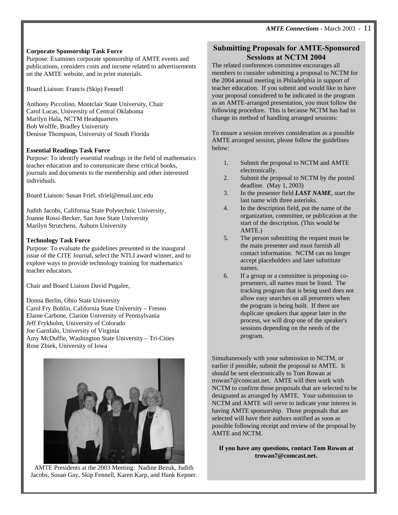# **Corporate Sponsorship Task Force**

Purpose: Examines corporate sponsorship of AMTE events and publications, considers costs and income related to advertisements on the AMTE website, and in print materials.

Board Liaison: Francis (Skip) Fennell

Anthony Piccolino, Montclair State University, Chair Carol Lucas, University of Central Oklahoma Marilyn Hala, NCTM Headquarters Bob Wolffe, Bradley University Denisse Thompson, University of South Florida

# **Essential Readings Task Force**

Purpose: To identify essential readings in the field of mathematics teacher education and to communicate these critical books, journals and documents to the membership and other interested individuals.

Board Liaison: Susan Friel, sfriel@email.unc.edu

Judith Jacobs, California State Polytechnic University, Joanne Rossi-Becker, San Jose State University Marilyn Strutchens, Auburn University

# **Technology Task Force**

Purpose: To evaluate the guidelines presented in the inaugural issue of the CITE Journal, select the NTLI award winner, and to explore ways to provide technology training for mathematics teacher educators.

Chair and Board Liaison David Pugalee,

Donna Berlin, Ohio State University Carol Fry Bohlin, California State University – Fresno Elaine Carbone, Clarion University of Pennsylvania Jeff Frykholm, University of Colorado Joe Garofalo, University of Virginia Amy McDuffie, Washington State University – Tri-Cities Rose Zbiek, University of Iowa



AMTE Presidents at the 2003 Meeting: Nadine Bezuk, Judith Jacobs, Susan Gay, Skip Fennell, Karen Karp, and Hank Kepner.

# **Submitting Proposals for AMTE-Sponsored Sessions at NCTM 2004**

The related conferences committee encourages all members to consider submitting a proposal to NCTM for the 2004 annual meeting in Philadelphia in support of teacher education. If you submit and would like to have your proposal considered to be indicated in the program as an AMTE-arranged presentation, you must follow the following procedure. This is because NCTM has had to change its method of handling arranged sessions:

To ensure a session receives consideration as a possible AMTE arranged session, please follow the guidelines below:

- 1. Submit the proposal to NCTM and AMTE electronically.
- 2. Submit the proposal to NCTM by the posted deadline. (May 1, 2003)
- 3. In the presenter field *LAST NAME*, start the last name with three asterisks.
- 4. In the description field, put the name of the organization, committee, or publication at the start of the description. (This would be AMTE.)
- 5. The person submitting the request must be the main presenter and must furnish all contact information. NCTM can no longer accept placeholders and later substitute names.
- 6. If a group or a committee is proposing copresenters, all names must be listed. The tracking program that is being used does not allow easy searches on all presenters when the program is being built. If there are duplicate speakers that appear later in the process, we will drop one of the speaker's sessions depending on the needs of the program.

Simultaneously with your submission to NCTM, or earlier if possible, submit the proposal to AMTE. It should be sent electronically to Tom Rowan at trowan7@comcast.net. AMTE will then work with NCTM to confirm those proposals that are selected to be designated as arranged by AMTE. Your submission to NCTM and AMTE will serve to indicate your interest in having AMTE sponsorship. Those proposals that are selected will have their authors notified as soon as possible following receipt and review of the proposal by AMTE and NCTM.

**If you have any questions, contact Tom Rowan at trowan7@comcast.net.**